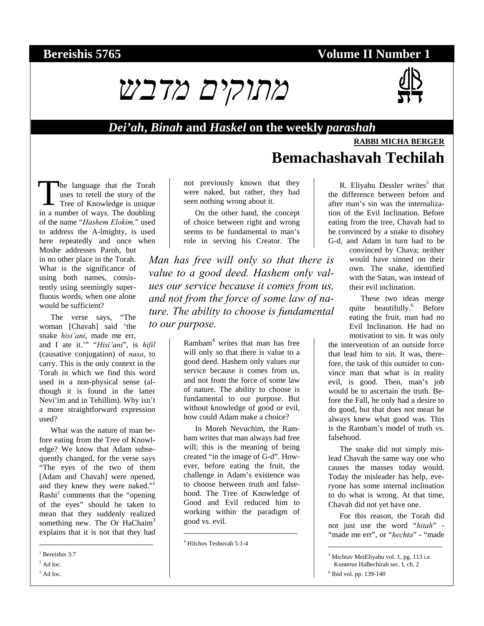# **Bereishis 5765** Volume II Number 1





### *Dei'ah***,** *Binah* **and** *Haskel* **on the weekly** *parashah*

## **RABBI MICHA BERGER Bemachashavah Techilah**

he language that the Torah uses to retell the story of the The language that the Torah<br>
uses to retell the story of the<br>
Tree of Knowledge is unique in a number of ways. The doubling of the name "*Hashem Elokim,*" used to address the A-lmighty, is used here repeatedly and once when

Moshe addresses Paroh, but in no other place in the Torah. What is the significance of using both names, consistently using seemingly superfluous words, when one alone would be sufficient?

The verse says, "The woman [Chavah] said 'the snake *hisi'ani*, made me err, and I ate it.'" "*Hisi'ani*", is *hifil* (causative conjugation) of *nasa*, to carry. This is the only context in the Torah in which we find this word used in a non-physical sense (although it is found in the latter Nevi'im and in Tehillim). Why isn't a more straightforward expression used?

What was the nature of man before eating from the Tree of Knowledge? We know that Adam subsequently changed, for the verse says "The eyes of the two of them [Adam and Chavah] were opened, and they knew they were naked."<sup>1</sup> Rashi<sup>2</sup> comments that the "opening of the eyes" should be taken to mean that they suddenly realized something new. The Or HaChaim<sup>3</sup> explains that it is not that they had

1 Bereishis 3:7

 $<sup>2</sup>$  Ad loc.</sup>

l

 $3$  Ad loc.

not previously known that they were naked, but rather, they had seen nothing wrong about it.

On the other hand, the concept of choice between right and wrong seems to be fundamental to man's role in serving his Creator. The

*Man has free will only so that there is value to a good deed. Hashem only values our service because it comes from us, and not from the force of some law of nature. The ability to choose is fundamental to our purpose.* 

> Rambam4 writes that man has free will only so that there is value to a good deed. Hashem only values our service because it comes from us, and not from the force of some law of nature. The ability to choose is fundamental to our purpose. But without knowledge of good or evil, how could Adam make a choice?

> In Moreh Nevuchim, the Rambam writes that man always had free will; this is the meaning of being created "in the image of G-d". However, before eating the fruit, the challenge in Adam's existence was to choose between truth and falsehood. The Tree of Knowledge of Good and Evil reduced him to working within the paradigm of good vs. evil.

 $\overline{a}$ 

R. Eliyahu Dessler writes<sup>5</sup> that the difference between before and after man's sin was the internalization of the Evil Inclination. Before eating from the tree, Chavah had to be convinced by a snake to disobey G-d, and Adam in turn had to be

convinced by Chava; neither would have sinned on their own. The snake, identified with the Satan, was instead of their evil inclination.

These two ideas merge quite beautifully.<sup>6</sup> Before eating the fruit, man had no Evil Inclination. He had no motivation to sin. It was only

the intervention of an outside force that lead him to sin. It was, therefore, the task of this outsider to convince man that what is in reality evil, is good. Then, man's job would be to ascertain the truth. Before the Fall, he only had a desire to do good, but that does not mean he always knew what good was. This is the Rambam's model of truth vs. falsehood.

The snake did not simply mislead Chavah the same way one who causes the masses today would. Today the misleader has help, everyone has some internal inclination to do what is wrong. At that time, Chavah did not yet have one.

For this reason, the Torah did not just use the word "*hitah*" - "made me err", or "*hechta*" - "made

5 Michtav MeiEliyahu vol. 1, pg. 113 i.e.

Kunterus HaBechirah sec. I, ch. 2

6 Ibid vol. pp. 139-140

1

<sup>4</sup> Hilchos Teshuvah 5:1-4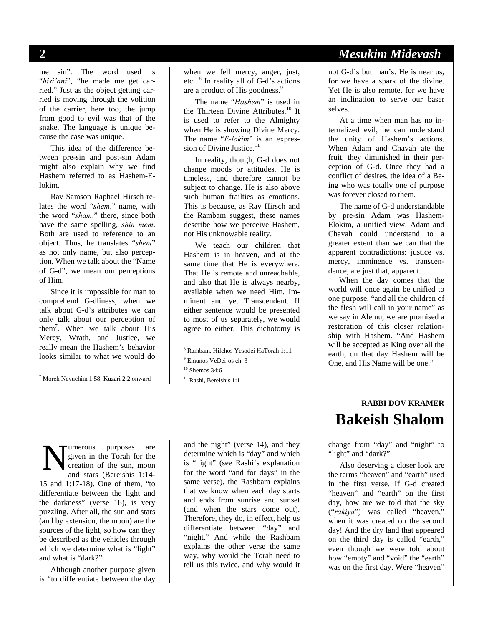me sin". The word used is "*hisi'ani*", "he made me get carried." Just as the object getting carried is moving through the volition of the carrier, here too, the jump from good to evil was that of the snake. The language is unique because the case was unique.

This idea of the difference between pre-sin and post-sin Adam might also explain why we find Hashem referred to as Hashem-Elokim.

Rav Samson Raphael Hirsch relates the word "*shem*," name, with the word "*sham*," there, since both have the same spelling, *shin mem*. Both are used to reference to an object. Thus, he translates "*shem*" as not only name, but also perception. When we talk about the "Name of G-d", we mean our perceptions of Him.

Since it is impossible for man to comprehend G-dliness, when we talk about G-d's attributes we can only talk about our perception of them7 . When we talk about His Mercy, Wrath, and Justice, we really mean the Hashem's behavior looks similar to what we would do

7 Moreh Nevuchim 1:58, Kuzari 2:2 onward

l

when we fell mercy, anger, just, etc...<sup>8</sup> In reality all of G-d's actions are a product of His goodness.<sup>9</sup>

The name "*Hashem*" is used in the Thirteen Divine Attributes.<sup>10</sup> It is used to refer to the Almighty when He is showing Divine Mercy. The name "*E-lokim*" is an expression of Divine Justice.<sup>11</sup>

In reality, though, G-d does not change moods or attitudes. He is timeless, and therefore cannot be subject to change. He is also above such human frailties as emotions. This is because, as Rav Hirsch and the Rambam suggest, these names describe how we perceive Hashem, not His unknowable reality.

We teach our children that Hashem is in heaven, and at the same time that He is everywhere. That He is remote and unreachable, and also that He is always nearby, available when we need Him. Imminent and yet Transcendent. If either sentence would be presented to most of us separately, we would agree to either. This dichotomy is

 $\overline{a}$ 

umerous purposes are given in the Torah for the creation of the sun, moon and stars (Bereishis 1:14- 15 and 1:17-18). One of them, "to differentiate between the light and the darkness" (verse 18), is very puzzling. After all, the sun and stars (and by extension, the moon) are the sources of the light, so how can they be described as the vehicles through which we determine what is "light" and what is "dark?" N

Although another purpose given is "to differentiate between the day

and the night" (verse 14), and they determine which is "day" and which is "night" (see Rashi's explanation for the word "and for days" in the same verse), the Rashbam explains that we know when each day starts and ends from sunrise and sunset (and when the stars come out). Therefore, they do, in effect, help us differentiate between "day" and "night." And while the Rashbam explains the other verse the same way, why would the Torah need to tell us this twice, and why would it

## **2** *Mesukim Midevash*

not G-d's but man's. He is near us, for we have a spark of the divine. Yet He is also remote, for we have an inclination to serve our baser selves.

At a time when man has no internalized evil, he can understand the unity of Hashem's actions. When Adam and Chavah ate the fruit, they diminished in their perception of G-d. Once they had a conflict of desires, the idea of a Being who was totally one of purpose was forever closed to them.

The name of G-d understandable by pre-sin Adam was Hashem-Elokim, a unified view. Adam and Chavah could understand to a greater extent than we can that the apparent contradictions: justice vs. mercy, imminence vs. transcendence, are just that, apparent.

When the day comes that the world will once again be unified to one purpose, "and all the children of the flesh will call in your name" as we say in Aleinu, we are promised a restoration of this closer relationship with Hashem. "And Hashem will be accepted as King over all the earth; on that day Hashem will be One, and His Name will be one."

# **RABBI DOV KRAMER Bakeish Shalom**

change from "day" and "night" to "light" and "dark?"

Also deserving a closer look are the terms "heaven" and "earth" used in the first verse. If G-d created "heaven" and "earth" on the first day, how are we told that the sky ("*rakiya*") was called "heaven," when it was created on the second day! And the dry land that appeared on the third day is called "earth," even though we were told about how "empty" and "void" the "earth" was on the first day. Were "heaven"

<sup>8</sup> Rambam, Hilchos Yesodei HaTorah 1:11

<sup>9</sup> Emunos VeDei'os ch. 3

 $10$  Shemos 34:6

<sup>&</sup>lt;sup>11</sup> Rashi, Bereishis 1:1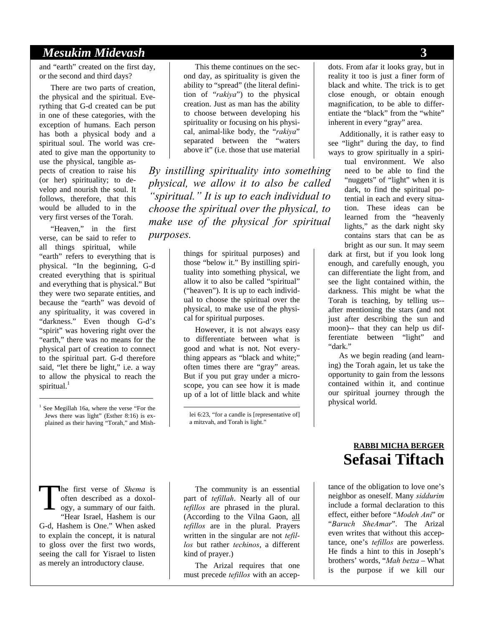### *Mesukim Midevash* **3**

and "earth" created on the first day, or the second and third days?

There are two parts of creation, the physical and the spiritual. Everything that G-d created can be put in one of these categories, with the exception of humans. Each person has both a physical body and a spiritual soul. The world was created to give man the opportunity to

use the physical, tangible aspects of creation to raise his (or her) spirituality; to develop and nourish the soul. It follows, therefore, that this would be alluded to in the very first verses of the Torah.

"Heaven," in the first verse, can be said to refer to all things spiritual, while

"earth" refers to everything that is physical. "In the beginning, G-d created everything that is spiritual and everything that is physical." But they were two separate entities, and because the "earth" was devoid of any spirituality, it was covered in "darkness." Even though G-d's "spirit" was hovering right over the "earth," there was no means for the physical part of creation to connect to the spiritual part. G-d therefore said, "let there be light," i.e. a way to allow the physical to reach the spiritual. $<sup>1</sup>$ </sup>

l

This theme continues on the second day, as spirituality is given the ability to "spread" (the literal definition of "*rakiya*") to the physical creation. Just as man has the ability to choose between developing his spirituality or focusing on his physical, animal-like body, the "*rakiya*" separated between the "waters above it" (i.e. those that use material

*By instilling spirituality into something physical, we allow it to also be called "spiritual." It is up to each individual to choose the spiritual over the physical, to make use of the physical for spiritual purposes.* 

> things for spiritual purposes) and those "below it." By instilling spirituality into something physical, we allow it to also be called "spiritual" ("heaven"). It is up to each individual to choose the spiritual over the physical, to make use of the physical for spiritual purposes.

> However, it is not always easy to differentiate between what is good and what is not. Not everything appears as "black and white;" often times there are "gray" areas. But if you put gray under a microscope, you can see how it is made up of a lot of little black and white

lei 6:23, "for a candle is [representative of] a mitzvah, and Torah is light."

 $\overline{a}$ 

dots. From afar it looks gray, but in reality it too is just a finer form of black and white. The trick is to get close enough, or obtain enough magnification, to be able to differentiate the "black" from the "white" inherent in every "gray" area.

Additionally, it is rather easy to see "light" during the day, to find ways to grow spiritually in a spiri-

tual environment. We also need to be able to find the "nuggets" of "light" when it is dark, to find the spiritual potential in each and every situation. These ideas can be learned from the "heavenly lights," as the dark night sky contains stars that can be as bright as our sun. It may seem

dark at first, but if you look long enough, and carefully enough, you can differentiate the light from, and see the light contained within, the darkness. This might be what the Torah is teaching, by telling us- after mentioning the stars (and not just after describing the sun and moon)-- that they can help us differentiate between "light" and "dark."

As we begin reading (and learning) the Torah again, let us take the opportunity to gain from the lessons contained within it, and continue our spiritual journey through the physical world.

he first verse of *Shema* is often described as a doxology, a summary of our faith. "Hear Israel, Hashem is our G-d, Hashem is One." When asked to explain the concept, it is natural to gloss over the first two words, seeing the call for Yisrael to listen as merely an introductory clause. T

The community is an essential part of *tefillah*. Nearly all of our *tefillos* are phrased in the plural. (According to the Vilna Gaon, all *tefillos* are in the plural. Prayers written in the singular are not *tefillos* but rather *techinos*, a different kind of prayer.)

The Arizal requires that one must precede *tefillos* with an accep-

## **RABBI MICHA BERGER Sefasai Tiftach**

tance of the obligation to love one's neighbor as oneself. Many *siddurim* include a formal declaration to this effect, either before "*Modeh Ani*" or "*Baruch SheAmar*". The Arizal even writes that without this acceptance, one's *tefillos* are powerless. He finds a hint to this in Joseph's brothers' words, "*Mah betza* – What is the purpose if we kill our

<sup>&</sup>lt;sup>1</sup> See Megillah 16a, where the verse "For the Jews there was light" (Esther 8:16) is explained as their having "Torah," and Mish-